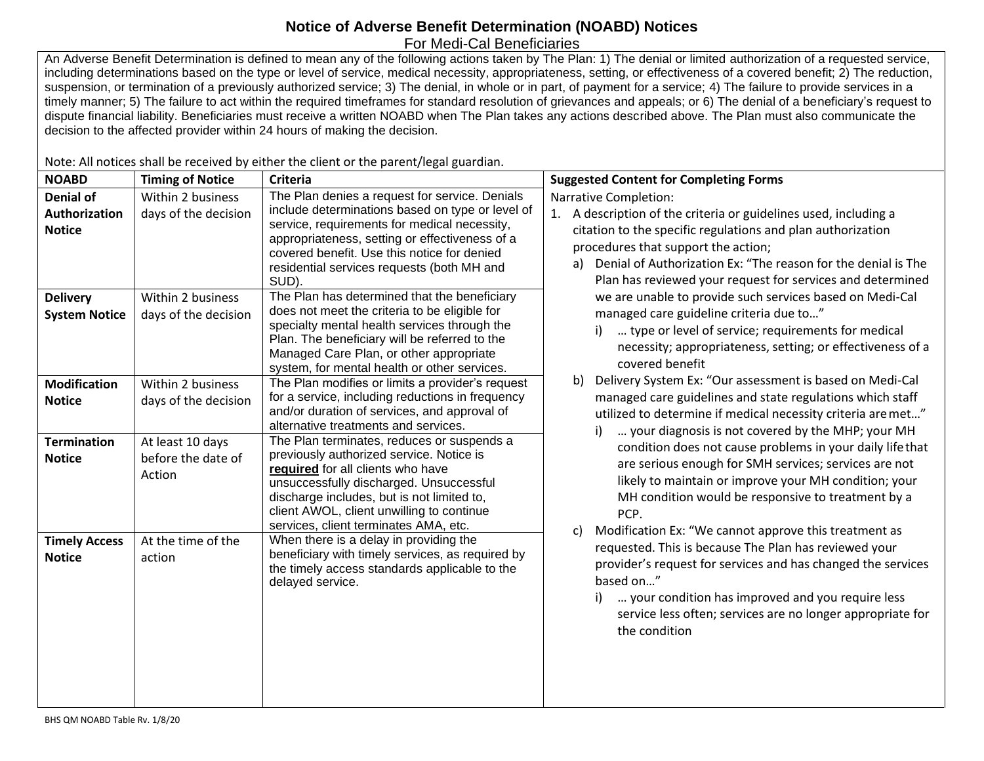## **Notice of Adverse Benefit Determination (NOABD) Notices** For Medi-Cal Beneficiaries

An Adverse Benefit Determination is defined to mean any of the following actions taken by The Plan: 1) The denial or limited authorization of a requested service, including determinations based on the type or level of service, medical necessity, appropriateness, setting, or effectiveness of a covered benefit; 2) The reduction, suspension, or termination of a previously authorized service; 3) The denial, in whole or in part, of payment for a service; 4) The failure to provide services in a timely manner; 5) The failure to act within the required timeframes for standard resolution of grievances and appeals; or 6) The denial of a beneficiary's request to dispute financial liability. Beneficiaries must receive a written NOABD when The Plan takes any actions described above. The Plan must also communicate the decision to the affected provider within 24 hours of making the decision.

Note: All notices shall be received by either the client or the parent/legal guardian.

| <b>NOABD</b>                                       | <b>Timing of Notice</b>                          | <b>Criteria</b>                                                                                                                                                                                                                                                                                            | <b>Suggested Content for Completing Forms</b>                                                                                                                                                                                                                                                                                                                                                                                                                                                                                                                                                                                                                                                                                                                                                                                                                                                                                                                                                                                                                                                                                                                                                                                                                                                                                                                                                                                      |
|----------------------------------------------------|--------------------------------------------------|------------------------------------------------------------------------------------------------------------------------------------------------------------------------------------------------------------------------------------------------------------------------------------------------------------|------------------------------------------------------------------------------------------------------------------------------------------------------------------------------------------------------------------------------------------------------------------------------------------------------------------------------------------------------------------------------------------------------------------------------------------------------------------------------------------------------------------------------------------------------------------------------------------------------------------------------------------------------------------------------------------------------------------------------------------------------------------------------------------------------------------------------------------------------------------------------------------------------------------------------------------------------------------------------------------------------------------------------------------------------------------------------------------------------------------------------------------------------------------------------------------------------------------------------------------------------------------------------------------------------------------------------------------------------------------------------------------------------------------------------------|
| <b>Denial of</b><br>Authorization<br><b>Notice</b> | Within 2 business<br>days of the decision        | The Plan denies a request for service. Denials<br>include determinations based on type or level of<br>service, requirements for medical necessity,<br>appropriateness, setting or effectiveness of a<br>covered benefit. Use this notice for denied<br>residential services requests (both MH and<br>SUD). | <b>Narrative Completion:</b><br>1. A description of the criteria or guidelines used, including a<br>citation to the specific regulations and plan authorization<br>procedures that support the action;<br>Denial of Authorization Ex: "The reason for the denial is The<br>a)<br>Plan has reviewed your request for services and determined<br>we are unable to provide such services based on Medi-Cal<br>managed care guideline criteria due to"<br>type or level of service; requirements for medical<br>necessity; appropriateness, setting; or effectiveness of a<br>covered benefit<br>Delivery System Ex: "Our assessment is based on Medi-Cal<br>b)<br>managed care guidelines and state regulations which staff<br>utilized to determine if medical necessity criteria are met"<br>your diagnosis is not covered by the MHP; your MH<br>condition does not cause problems in your daily life that<br>are serious enough for SMH services; services are not<br>likely to maintain or improve your MH condition; your<br>MH condition would be responsive to treatment by a<br>PCP.<br>Modification Ex: "We cannot approve this treatment as<br>C)<br>requested. This is because The Plan has reviewed your<br>provider's request for services and has changed the services<br>based on"<br>your condition has improved and you require less<br>service less often; services are no longer appropriate for<br>the condition |
| <b>Delivery</b><br><b>System Notice</b>            | Within 2 business<br>days of the decision        | The Plan has determined that the beneficiary<br>does not meet the criteria to be eligible for<br>specialty mental health services through the<br>Plan. The beneficiary will be referred to the<br>Managed Care Plan, or other appropriate<br>system, for mental health or other services.                  |                                                                                                                                                                                                                                                                                                                                                                                                                                                                                                                                                                                                                                                                                                                                                                                                                                                                                                                                                                                                                                                                                                                                                                                                                                                                                                                                                                                                                                    |
| <b>Modification</b><br><b>Notice</b>               | Within 2 business<br>days of the decision        | The Plan modifies or limits a provider's request<br>for a service, including reductions in frequency<br>and/or duration of services, and approval of<br>alternative treatments and services.                                                                                                               |                                                                                                                                                                                                                                                                                                                                                                                                                                                                                                                                                                                                                                                                                                                                                                                                                                                                                                                                                                                                                                                                                                                                                                                                                                                                                                                                                                                                                                    |
| <b>Termination</b><br><b>Notice</b>                | At least 10 days<br>before the date of<br>Action | The Plan terminates, reduces or suspends a<br>previously authorized service. Notice is<br>required for all clients who have<br>unsuccessfully discharged. Unsuccessful<br>discharge includes, but is not limited to,<br>client AWOL, client unwilling to continue<br>services, client terminates AMA, etc. |                                                                                                                                                                                                                                                                                                                                                                                                                                                                                                                                                                                                                                                                                                                                                                                                                                                                                                                                                                                                                                                                                                                                                                                                                                                                                                                                                                                                                                    |
| <b>Timely Access</b><br><b>Notice</b>              | At the time of the<br>action                     | When there is a delay in providing the<br>beneficiary with timely services, as required by<br>the timely access standards applicable to the<br>delayed service.                                                                                                                                            |                                                                                                                                                                                                                                                                                                                                                                                                                                                                                                                                                                                                                                                                                                                                                                                                                                                                                                                                                                                                                                                                                                                                                                                                                                                                                                                                                                                                                                    |